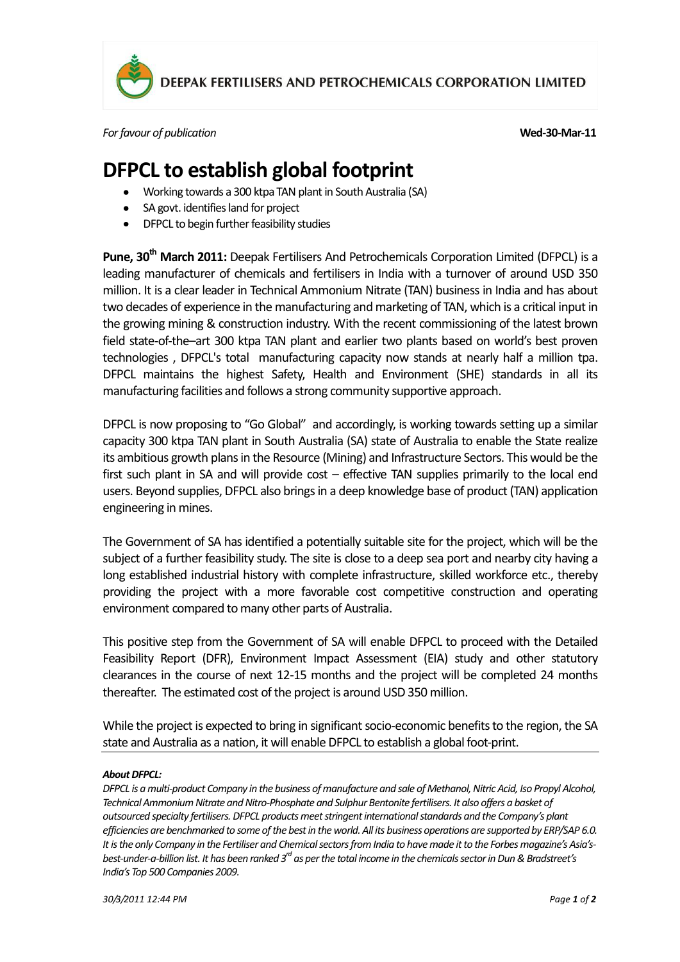

DEEPAK FERTILISERS AND PETROCHEMICALS CORPORATION LIMITED

*For favour of publication* **Wed-30-Mar-11**

## **DFPCL to establish global footprint**

- Working towards a 300 ktpa TAN plant in South Australia (SA)
- SA govt. identifies land for project
- DFPCL to begin further feasibility studies

**Pune, 30th March 2011:** Deepak Fertilisers And Petrochemicals Corporation Limited (DFPCL) is a leading manufacturer of chemicals and fertilisers in India with a turnover of around USD 350 million. It is a clear leader in Technical Ammonium Nitrate (TAN) business in India and has about two decades of experience in the manufacturing and marketing of TAN, which is a critical input in the growing mining & construction industry. With the recent commissioning of the latest brown field state-of-the–art 300 ktpa TAN plant and earlier two plants based on world's best proven technologies , DFPCL's total manufacturing capacity now stands at nearly half a million tpa. DFPCL maintains the highest Safety, Health and Environment (SHE) standards in all its manufacturing facilities and follows a strong community supportive approach.

DFPCL is now proposing to "Go Global" and accordingly, is working towards setting up a similar capacity 300 ktpa TAN plant in South Australia (SA) state of Australia to enable the State realize its ambitious growth plans in the Resource (Mining) and Infrastructure Sectors. This would be the first such plant in SA and will provide cost – effective TAN supplies primarily to the local end users. Beyond supplies, DFPCL also brings in a deep knowledge base of product (TAN) application engineering in mines.

The Government of SA has identified a potentially suitable site for the project, which will be the subject of a further feasibility study. The site is close to a deep sea port and nearby city having a long established industrial history with complete infrastructure, skilled workforce etc., thereby providing the project with a more favorable cost competitive construction and operating environment compared to many other parts of Australia.

This positive step from the Government of SA will enable DFPCL to proceed with the Detailed Feasibility Report (DFR), Environment Impact Assessment (EIA) study and other statutory clearances in the course of next 12-15 months and the project will be completed 24 months thereafter. The estimated cost of the project is around USD 350 million.

While the project is expected to bring in significant socio-economic benefits to the region, the SA state and Australia as a nation, it will enable DFPCL to establish a global foot-print.

## *About DFPCL:*

*DFPCL is a multi-product Company in the business of manufacture and sale of Methanol, Nitric Acid, Iso Propyl Alcohol,*  Technical Ammonium Nitrate and Nitro-Phosphate and Sulphur Bentonite fertilisers. It also offers a basket of *outsourced specialty fertilisers. DFPCL products meet stringent international standards and the Company's plant efficiencies are benchmarked to some of the best in the world. All its business operations are supported by ERP/SAP 6.0.* It is the only Company in the Fertiliser and Chemical sectors from India to have made it to the Forbes magazine's Asia's*best-under-a-billion list. It has been ranked 3rd as per the total income in the chemicals sector in Dun & Bradstreet's India's Top 500 Companies 2009.*